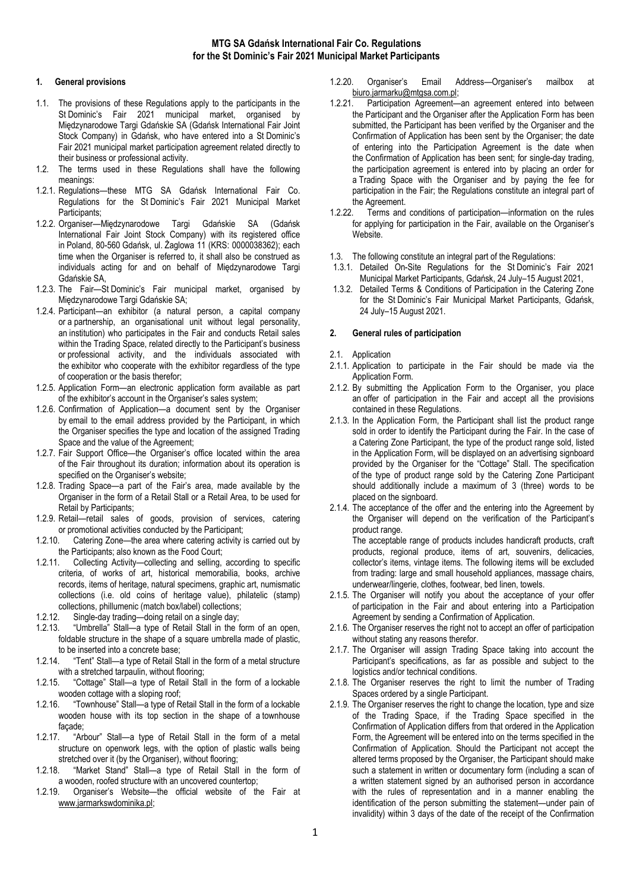# 1. General provisions

- 1.1. The provisions of these Regulations apply to the participants in the St Dominic's Fair 2021 municipal market, organised by Międzynarodowe Targi Gdańskie SA (Gdańsk International Fair Joint Stock Company) in Gdańsk, who have entered into a St Dominic's Fair 2021 municipal market participation agreement related directly to their business or professional activity.
- 1.2. The terms used in these Regulations shall have the following meanings:
- 1.2.1. Regulations—these MTG SA Gdańsk International Fair Co. Regulations for the St Dominic's Fair 2021 Municipal Market Participants;
- 1.2.2. Organiser—Międzynarodowe Targi Gdańskie SA (Gdańsk International Fair Joint Stock Company) with its registered office in Poland, 80-560 Gdańsk, ul. Żaglowa 11 (KRS: 0000038362); each time when the Organiser is referred to, it shall also be construed as individuals acting for and on behalf of Międzynarodowe Targi Gdańskie SA,
- 1.2.3. The Fair—St Dominic's Fair municipal market, organised by Międzynarodowe Targi Gdańskie SA;
- 1.2.4. Participant—an exhibitor (a natural person, a capital company or a partnership, an organisational unit without legal personality, an institution) who participates in the Fair and conducts Retail sales within the Trading Space, related directly to the Participant's business or professional activity, and the individuals associated with the exhibitor who cooperate with the exhibitor regardless of the type of cooperation or the basis therefor;
- 1.2.5. Application Form—an electronic application form available as part of the exhibitor's account in the Organiser's sales system;
- 1.2.6. Confirmation of Application—a document sent by the Organiser by email to the email address provided by the Participant, in which the Organiser specifies the type and location of the assigned Trading Space and the value of the Agreement;
- 1.2.7. Fair Support Office—the Organiser's office located within the area of the Fair throughout its duration; information about its operation is specified on the Organiser's website;
- 1.2.8. Trading Space—a part of the Fair's area, made available by the Organiser in the form of a Retail Stall or a Retail Area, to be used for Retail by Participants;
- 1.2.9. Retail—retail sales of goods, provision of services, catering or promotional activities conducted by the Participant;
- 1.2.10. Catering Zone—the area where catering activity is carried out by the Participants; also known as the Food Court;
- 1.2.11. Collecting Activity—collecting and selling, according to specific criteria, of works of art, historical memorabilia, books, archive records, items of heritage, natural specimens, graphic art, numismatic collections (i.e. old coins of heritage value), philatelic (stamp) collections, phillumenic (match box/label) collections;
- 1.2.12. Single-day trading—doing retail on a single day;
- 1.2.13. "Umbrella" Stall—a type of Retail Stall in the form of an open, foldable structure in the shape of a square umbrella made of plastic, to be inserted into a concrete base;
- 1.2.14. "Tent" Stall—a type of Retail Stall in the form of a metal structure with a stretched tarpaulin, without flooring;
- 1.2.15. "Cottage" Stall—a type of Retail Stall in the form of a lockable wooden cottage with a sloping roof;
- 1.2.16. "Townhouse" Stall—a type of Retail Stall in the form of a lockable wooden house with its top section in the shape of a townhouse ;façade<br>Ar." \_1.2.17
- "Arbour" Stall-a type of Retail Stall in the form of a metal structure on openwork legs, with the option of plastic walls being stretched over it (by the Organiser), without flooring;
- 1.2.18. "Market Stand" Stall—a type of Retail Stall in the form of a wooden, roofed structure with an uncovered countertop;
- 1.2.19. Organiser's Website—the official website of the Fair at www.jarmarkswdominika.pl;
- 1.2.20. Organiser's Email Address—Organiser's mailbox at biuro.jarmarku@mtgsa.com.pl;
- 1.2.21. Participation Agreement—an agreement entered into between the Participant and the Organiser after the Application Form has been submitted, the Participant has been verified by the Organiser and the Confirmation of Application has been sent by the Organiser; the date of entering into the Participation Agreement is the date when the Confirmation of Application has been sent; for single-day trading, the participation agreement is entered into by placing an order for a Trading Space with the Organiser and by paying the fee for participation in the Fair; the Regulations constitute an integral part of the Agreement.
- 1.2.22. Terms and conditions of participation—information on the rules for applying for participation in the Fair, available on the Organiser's Website.
- 1.3. The following constitute an integral part of the Regulations:
- 1.3.1. Detailed On-Site Regulations for the St Dominic's Fair 2021 Municipal Market Participants, Gdańsk, 24 July–15 August 2021,
- 1.3.2. Detailed Terms & Conditions of Participation in the Catering Zone for the St Dominic's Fair Municipal Market Participants, Gdańsk, 24 July–15 August 2021.

## 2. General rules of participation

- 2.1. Application
- 2.1.1. Application to participate in the Fair should be made via the Application Form.
- 2.1.2. By submitting the Application Form to the Organiser, you place an offer of participation in the Fair and accept all the provisions contained in these Regulations.
- 2.1.3. In the Application Form, the Participant shall list the product range sold in order to identify the Participant during the Fair. In the case of a Catering Zone Participant, the type of the product range sold, listed in the Application Form, will be displayed on an advertising signboard provided by the Organiser for the "Cottage" Stall. The specification of the type of product range sold by the Catering Zone Participant should additionally include a maximum of 3 (three) words to be placed on the signboard.
- 2.1.4. The acceptance of the offer and the entering into the Agreement by the Organiser will depend on the verification of the Participant's product range.

The acceptable range of products includes handicraft products, craft products, regional produce, items of art, souvenirs, delicacies, collector's items, vintage items. The following items will be excluded from trading: large and small household appliances, massage chairs, underwear/lingerie, clothes, footwear, bed linen, towels.

- 2.1.5. The Organiser will notify you about the acceptance of your offer of participation in the Fair and about entering into a Participation Agreement by sending a Confirmation of Application.
- 2.1.6. The Organiser reserves the right not to accept an offer of participation without stating any reasons therefor.
- 2.1.7. The Organiser will assign Trading Space taking into account the Participant's specifications, as far as possible and subject to the logistics and/or technical conditions.
- 2.1.8. The Organiser reserves the right to limit the number of Trading Spaces ordered by a single Participant.
- 2.1.9. The Organiser reserves the right to change the location, type and size of the Trading Space, if the Trading Space specified in the Confirmation of Application differs from that ordered in the Application Form, the Agreement will be entered into on the terms specified in the Confirmation of Application. Should the Participant not accept the altered terms proposed by the Organiser, the Participant should make such a statement in written or documentary form (including a scan of a written statement signed by an authorised person in accordance with the rules of representation and in a manner enabling the identification of the person submitting the statement—under pain of invalidity) within 3 days of the date of the receipt of the Confirmation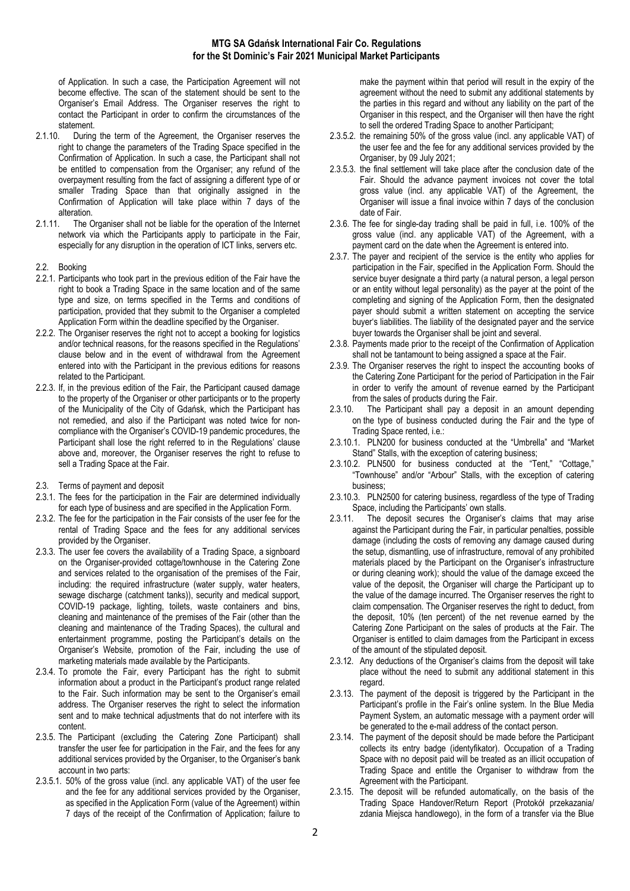of Application. In such a case, the Participation Agreement will not become effective. The scan of the statement should be sent to the Organiser's Email Address. The Organiser reserves the right to contact the Participant in order to confirm the circumstances of the statement.

- 2.1.10. During the term of the Agreement, the Organiser reserves the right to change the parameters of the Trading Space specified in the Confirmation of Application. In such a case, the Participant shall not be entitled to compensation from the Organiser; any refund of the overpayment resulting from the fact of assigning a different type of or smaller Trading Space than that originally assigned in the Confirmation of Application will take place within 7 days of the alteration.
- 2.1.11. The Organiser shall not be liable for the operation of the Internet network via which the Participants apply to participate in the Fair, especially for any disruption in the operation of ICT links, servers etc.
- 2.2. Booking
- 2.2.1. Participants who took part in the previous edition of the Fair have the right to book a Trading Space in the same location and of the same type and size, on terms specified in the Terms and conditions of participation, provided that they submit to the Organiser a completed Application Form within the deadline specified by the Organiser.
- 2.2.2. The Organiser reserves the right not to accept a booking for logistics and/or technical reasons, for the reasons specified in the Regulations' clause below and in the event of withdrawal from the Agreement entered into with the Participant in the previous editions for reasons related to the Participant.
- 2.2.3. If, in the previous edition of the Fair, the Participant caused damage to the property of the Organiser or other participants or to the property of the Municipality of the City of Gdańsk, which the Participant has not remedied, and also if the Participant was noted twice for noncompliance with the Organiser's COVID-19 pandemic procedures, the Participant shall lose the right referred to in the Regulations' clause above and, moreover, the Organiser reserves the right to refuse to sell a Trading Space at the Fair.
- 2.3. Terms of payment and deposit
- 2.3.1. The fees for the participation in the Fair are determined individually for each type of business and are specified in the Application Form.
- 2.3.2. The fee for the participation in the Fair consists of the user fee for the rental of Trading Space and the fees for any additional services provided by the Organiser.
- 2.3.3. The user fee covers the availability of a Trading Space, a signboard on the Organiser-provided cottage/townhouse in the Catering Zone and services related to the organisation of the premises of the Fair, including: the required infrastructure (water supply, water heaters, sewage discharge (catchment tanks)), security and medical support, COVID-19 package, lighting, toilets, waste containers and bins, cleaning and maintenance of the premises of the Fair (other than the cleaning and maintenance of the Trading Spaces), the cultural and entertainment programme, posting the Participant's details on the Organiser's Website, promotion of the Fair, including the use of marketing materials made available by the Participants.
- 2.3.4. To promote the Fair, every Participant has the right to submit information about a product in the Participant's product range related to the Fair. Such information may be sent to the Organiser's email address. The Organiser reserves the right to select the information sent and to make technical adjustments that do not interfere with its content.
- 2.3.5. The Participant (excluding the Catering Zone Participant) shall transfer the user fee for participation in the Fair, and the fees for any additional services provided by the Organiser, to the Organiser's bank account in two parts:
- 2.3.5.1. 50% of the gross value (incl. any applicable VAT) of the user fee and the fee for any additional services provided by the Organiser, as specified in the Application Form (value of the Agreement) within 7 days of the receipt of the Confirmation of Application; failure to

make the payment within that period will result in the expiry of the agreement without the need to submit any additional statements by the parties in this regard and without any liability on the part of the Organiser in this respect, and the Organiser will then have the right to sell the ordered Trading Space to another Participant;

- 2.3.5.2. the remaining 50% of the gross value (incl. any applicable VAT) of the user fee and the fee for any additional services provided by the Organiser, by 09 July 2021;
- 2.3.5.3. the final settlement will take place after the conclusion date of the Fair. Should the advance payment invoices not cover the total gross value (incl. any applicable VAT) of the Agreement, the Organiser will issue a final invoice within 7 days of the conclusion date of Fair.
- 2.3.6. The fee for single-day trading shall be paid in full, i.e. 100% of the gross value (incl. any applicable VAT) of the Agreement, with a payment card on the date when the Agreement is entered into.
- 2.3.7. The payer and recipient of the service is the entity who applies for participation in the Fair, specified in the Application Form. Should the service buyer designate a third party (a natural person, a legal person or an entity without legal personality) as the payer at the point of the completing and signing of the Application Form, then the designated payer should submit a written statement on accepting the service buyer's liabilities. The liability of the designated payer and the service buyer towards the Organiser shall be joint and several.
- 2.3.8. Payments made prior to the receipt of the Confirmation of Application shall not be tantamount to being assigned a space at the Fair.
- 2.3.9. The Organiser reserves the right to inspect the accounting books of the Catering Zone Participant for the period of Participation in the Fair in order to verify the amount of revenue earned by the Participant from the sales of products during the Fair.
- 2.3.10. The Participant shall pay a deposit in an amount depending on the type of business conducted during the Fair and the type of Trading Space rented, i.e.:
- 2.3.10.1. PLN200 for business conducted at the "Umbrella" and "Market Stand" Stalls, with the exception of catering business;
- 2.3.10.2. PLN500 for business conducted at the "Tent," "Cottage," "Townhouse" and/or "Arbour" Stalls, with the exception of catering business;
- 2.3.10.3. PLN2500 for catering business, regardless of the type of Trading Space, including the Participants' own stalls.
- 2.3.11. The deposit secures the Organiser's claims that may arise against the Participant during the Fair, in particular penalties, possible damage (including the costs of removing any damage caused during the setup, dismantling, use of infrastructure, removal of any prohibited materials placed by the Participant on the Organiser's infrastructure or during cleaning work); should the value of the damage exceed the value of the deposit, the Organiser will charge the Participant up to the value of the damage incurred. The Organiser reserves the right to claim compensation. The Organiser reserves the right to deduct, from the deposit, 10% (ten percent) of the net revenue earned by the Catering Zone Participant on the sales of products at the Fair. The Organiser is entitled to claim damages from the Participant in excess of the amount of the stipulated deposit.
- 2.3.12. Any deductions of the Organiser's claims from the deposit will take place without the need to submit any additional statement in this regard.
- 2.3.13. The payment of the deposit is triggered by the Participant in the Participant's profile in the Fair's online system. In the Blue Media Payment System, an automatic message with a payment order will be generated to the e-mail address of the contact person.
- 2.3.14. The payment of the deposit should be made before the Participant collects its entry badge (identyfikator). Occupation of a Trading Space with no deposit paid will be treated as an illicit occupation of Trading Space and entitle the Organiser to withdraw from the Agreement with the Participant.
- 2.3.15. The deposit will be refunded automatically, on the basis of the Trading Space Handover/Return Report (Protokół przekazania/ zdania Miejsca handlowego), in the form of a transfer via the Blue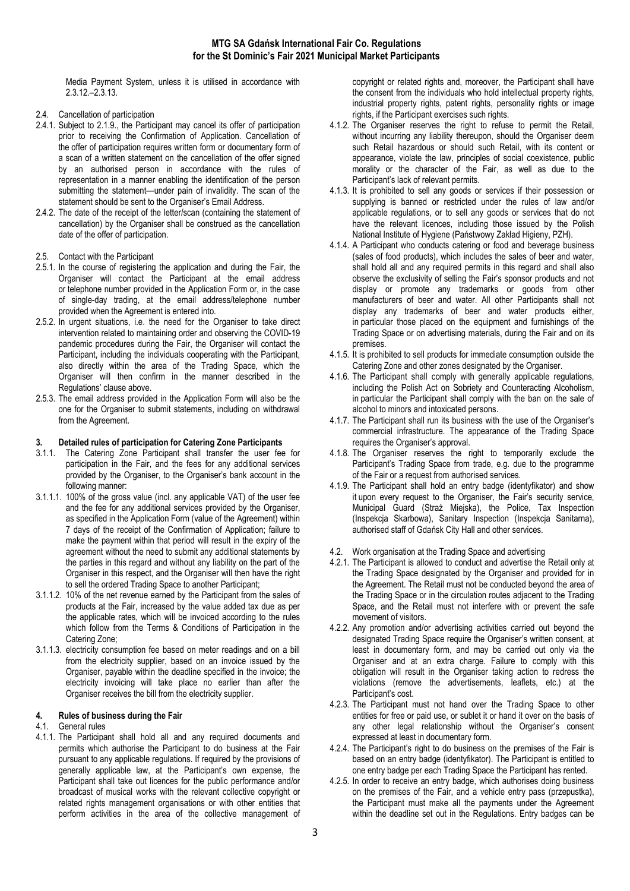Media Payment System, unless it is utilised in accordance with 2.3.12.–2.3.13.

- 2.4. Cancellation of participation
- 2.4.1. Subject to 2.1.9., the Participant may cancel its offer of participation prior to receiving the Confirmation of Application. Cancellation of the offer of participation requires written form or documentary form of a scan of a written statement on the cancellation of the offer signed by an authorised person in accordance with the rules of representation in a manner enabling the identification of the person submitting the statement—under pain of invalidity. The scan of the statement should be sent to the Organiser's Email Address.
- 2.4.2. The date of the receipt of the letter/scan (containing the statement of cancellation) by the Organiser shall be construed as the cancellation date of the offer of participation.
- 2.5. Contact with the Participant
- 2.5.1. In the course of registering the application and during the Fair, the Organiser will contact the Participant at the email address or telephone number provided in the Application Form or, in the case of single-day trading, at the email address/telephone number provided when the Agreement is entered into.
- 2.5.2. In urgent situations, i.e. the need for the Organiser to take direct intervention related to maintaining order and observing the COVID-19 pandemic procedures during the Fair, the Organiser will contact the Participant, including the individuals cooperating with the Participant, also directly within the area of the Trading Space, which the Organiser will then confirm in the manner described in the Regulations' clause above.
- 2.5.3. The email address provided in the Application Form will also be the one for the Organiser to submit statements, including on withdrawal from the Agreement.

## 3. Detailed rules of participation for Catering Zone Participants

- 3.1.1. The Catering Zone Participant shall transfer the user fee for participation in the Fair, and the fees for any additional services provided by the Organiser, to the Organiser's bank account in the following manner:
- 3.1.1.1. 100% of the gross value (incl. any applicable VAT) of the user fee and the fee for any additional services provided by the Organiser, as specified in the Application Form (value of the Agreement) within 7 days of the receipt of the Confirmation of Application; failure to make the payment within that period will result in the expiry of the agreement without the need to submit any additional statements by the parties in this regard and without any liability on the part of the Organiser in this respect, and the Organiser will then have the right to sell the ordered Trading Space to another Participant;
- 3.1.1.2. 10% of the net revenue earned by the Participant from the sales of products at the Fair, increased by the value added tax due as per the applicable rates, which will be invoiced according to the rules which follow from the Terms & Conditions of Participation in the Catering Zone;
- 3.1.1.3. electricity consumption fee based on meter readings and on a bill from the electricity supplier, based on an invoice issued by the Organiser, payable within the deadline specified in the invoice; the electricity invoicing will take place no earlier than after the Organiser receives the bill from the electricity supplier.

#### 4. Rules of business during the Fair

### 4.1. General rules

4.1.1. The Participant shall hold all and any required documents and permits which authorise the Participant to do business at the Fair pursuant to any applicable regulations. If required by the provisions of generally applicable law, at the Participant's own expense, the Participant shall take out licences for the public performance and/or broadcast of musical works with the relevant collective copyright or related rights management organisations or with other entities that perform activities in the area of the collective management of copyright or related rights and, moreover, the Participant shall have the consent from the individuals who hold intellectual property rights, industrial property rights, patent rights, personality rights or image rights, if the Participant exercises such rights.

- 4.1.2. The Organiser reserves the right to refuse to permit the Retail, without incurring any liability thereupon, should the Organiser deem such Retail hazardous or should such Retail, with its content or appearance, violate the law, principles of social coexistence, public morality or the character of the Fair, as well as due to the Participant's lack of relevant permits.
- 4.1.3. It is prohibited to sell any goods or services if their possession or supplying is banned or restricted under the rules of law and/or applicable regulations, or to sell any goods or services that do not have the relevant licences, including those issued by the Polish National Institute of Hygiene (Państwowy Zakład Higieny, PZH).
- 4.1.4. A Participant who conducts catering or food and beverage business (sales of food products), which includes the sales of beer and water, shall hold all and any required permits in this regard and shall also observe the exclusivity of selling the Fair's sponsor products and not display or promote any trademarks or goods from other manufacturers of beer and water. All other Participants shall not display any trademarks of beer and water products either, in particular those placed on the equipment and furnishings of the Trading Space or on advertising materials, during the Fair and on its premises.
- 4.1.5. It is prohibited to sell products for immediate consumption outside the Catering Zone and other zones designated by the Organiser.
- 4.1.6. The Participant shall comply with generally applicable regulations, including the Polish Act on Sobriety and Counteracting Alcoholism, in particular the Participant shall comply with the ban on the sale of alcohol to minors and intoxicated persons.
- 4.1.7. The Participant shall run its business with the use of the Organiser's commercial infrastructure. The appearance of the Trading Space requires the Organiser's approval.
- 4.1.8. The Organiser reserves the right to temporarily exclude the Participant's Trading Space from trade, e.g. due to the programme of the Fair or a request from authorised services.
- 4.1.9. The Participant shall hold an entry badge (identyfikator) and show it upon every request to the Organiser, the Fair's security service, Municipal Guard (Straż Miejska), the Police, Tax Inspection (Inspekcja Skarbowa), Sanitary Inspection (Inspekcja Sanitarna), authorised staff of Gdańsk City Hall and other services.
- 4.2. Work organisation at the Trading Space and advertising
- 4.2.1. The Participant is allowed to conduct and advertise the Retail only at the Trading Space designated by the Organiser and provided for in the Agreement. The Retail must not be conducted beyond the area of the Trading Space or in the circulation routes adjacent to the Trading Space, and the Retail must not interfere with or prevent the safe movement of visitors.
- 4.2.2. Any promotion and/or advertising activities carried out beyond the designated Trading Space require the Organiser's written consent, at least in documentary form, and may be carried out only via the Organiser and at an extra charge. Failure to comply with this obligation will result in the Organiser taking action to redress the violations (remove the advertisements, leaflets, etc.) at the Participant's cost.
- 4.2.3. The Participant must not hand over the Trading Space to other entities for free or paid use, or sublet it or hand it over on the basis of any other legal relationship without the Organiser's consent expressed at least in documentary form.
- 4.2.4. The Participant's right to do business on the premises of the Fair is based on an entry badge (identyfikator). The Participant is entitled to one entry badge per each Trading Space the Participant has rented.
- 4.2.5. In order to receive an entry badge, which authorises doing business on the premises of the Fair, and a vehicle entry pass (przepustka), the Participant must make all the payments under the Agreement within the deadline set out in the Regulations. Entry badges can be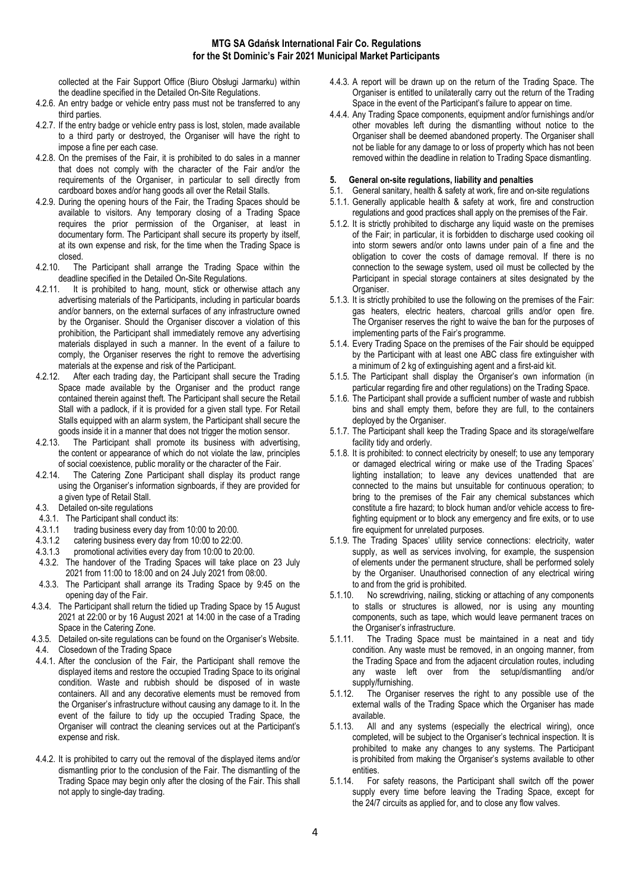collected at the Fair Support Office (Biuro Obsługi Jarmarku) within the deadline specified in the Detailed On-Site Regulations.

- 4.2.6. An entry badge or vehicle entry pass must not be transferred to any third parties.
- 4.2.7. If the entry badge or vehicle entry pass is lost, stolen, made available to a third party or destroyed, the Organiser will have the right to impose a fine per each case.
- 4.2.8. On the premises of the Fair, it is prohibited to do sales in a manner that does not comply with the character of the Fair and/or the requirements of the Organiser, in particular to sell directly from cardboard boxes and/or hang goods all over the Retail Stalls.
- 4.2.9. During the opening hours of the Fair, the Trading Spaces should be available to visitors. Any temporary closing of a Trading Space requires the prior permission of the Organiser, at least in documentary form. The Participant shall secure its property by itself, at its own expense and risk, for the time when the Trading Space is closed.
- 4.2.10. The Participant shall arrange the Trading Space within the deadline specified in the Detailed On-Site Regulations.
- 4.2.11. It is prohibited to hang, mount, stick or otherwise attach any advertising materials of the Participants, including in particular boards and/or banners, on the external surfaces of any infrastructure owned by the Organiser. Should the Organiser discover a violation of this prohibition, the Participant shall immediately remove any advertising materials displayed in such a manner. In the event of a failure to comply, the Organiser reserves the right to remove the advertising materials at the expense and risk of the Participant.
- 4.2.12. After each trading day, the Participant shall secure the Trading Space made available by the Organiser and the product range contained therein against theft. The Participant shall secure the Retail Stall with a padlock, if it is provided for a given stall type. For Retail Stalls equipped with an alarm system, the Participant shall secure the
- goods inside it in a manner that does not trigger the motion sensor.<br>4.2.13. The Participant shall promote its business with advertisin The Participant shall promote its business with advertising, the content or appearance of which do not violate the law, principles of social coexistence, public morality or the character of the Fair.
- 4.2.14. The Catering Zone Participant shall display its product range using the Organiser's information signboards, if they are provided for a given type of Retail Stall.
- 4.3. Detailed on-site regulations
- 4.3.1. The Participant shall conduct its:<br>4.3.1.1 trading business every day from
- 
- 4.3.1.1 trading business every day from 10:00 to 20:00.<br>4.3.1.2 catering business every day from 10:00 to 22:00 catering business every day from 10:00 to 22:00.
- 4.3.1.3 promotional activities every day from 10:00 to 20:00.
- 4.3.2. The handover of the Trading Spaces will take place on 23 July 2021 from 11:00 to 18:00 and on 24 July 2021 from 08:00.
- 4.3.3. The Participant shall arrange its Trading Space by 9:45 on the opening day of the Fair.
- 4.3.4. The Participant shall return the tidied up Trading Space by 15 August 2021 at 22:00 or by 16 August 2021 at 14:00 in the case of a Trading Space in the Catering Zone.
- 4.3.5. Detailed on-site regulations can be found on the Organiser's Website.
- 4.4. Closedown of the Trading Space
- 4.4.1. After the conclusion of the Fair, the Participant shall remove the displayed items and restore the occupied Trading Space to its original condition. Waste and rubbish should be disposed of in waste containers. All and any decorative elements must be removed from the Organiser's infrastructure without causing any damage to it. In the event of the failure to tidy up the occupied Trading Space, the Organiser will contract the cleaning services out at the Participant's expense and risk.
- 4.4.2. It is prohibited to carry out the removal of the displayed items and/or dismantling prior to the conclusion of the Fair. The dismantling of the Trading Space may begin only after the closing of the Fair. This shall not apply to single-day trading.
- 4.4.3. A report will be drawn up on the return of the Trading Space. The Organiser is entitled to unilaterally carry out the return of the Trading Space in the event of the Participant's failure to appear on time.
- 4.4.4. Any Trading Space components, equipment and/or furnishings and/or other movables left during the dismantling without notice to the Organiser shall be deemed abandoned property. The Organiser shall not be liable for any damage to or loss of property which has not been removed within the deadline in relation to Trading Space dismantling.

## 5. General on-site regulations, liability and penalties

- 5.1. General sanitary, health & safety at work, fire and on-site regulations
- 5.1.1. Generally applicable health & safety at work, fire and construction regulations and good practices shall apply on the premises of the Fair.
- 5.1.2. It is strictly prohibited to discharge any liquid waste on the premises of the Fair; in particular, it is forbidden to discharge used cooking oil into storm sewers and/or onto lawns under pain of a fine and the obligation to cover the costs of damage removal. If there is no connection to the sewage system, used oil must be collected by the Participant in special storage containers at sites designated by the Organiser.
- 5.1.3. It is strictly prohibited to use the following on the premises of the Fair: gas heaters, electric heaters, charcoal grills and/or open fire. The Organiser reserves the right to waive the ban for the purposes of implementing parts of the Fair's programme.
- 5.1.4. Every Trading Space on the premises of the Fair should be equipped by the Participant with at least one ABC class fire extinguisher with a minimum of 2 kg of extinguishing agent and a first-aid kit.
- 5.1.5. The Participant shall display the Organiser's own information (in particular regarding fire and other regulations) on the Trading Space.
- 5.1.6. The Participant shall provide a sufficient number of waste and rubbish bins and shall empty them, before they are full, to the containers deployed by the Organiser.
- 5.1.7. The Participant shall keep the Trading Space and its storage/welfare facility tidy and orderly.
- 5.1.8. It is prohibited: to connect electricity by oneself; to use any temporary or damaged electrical wiring or make use of the Trading Spaces' lighting installation; to leave any devices unattended that are connected to the mains but unsuitable for continuous operation; to bring to the premises of the Fair any chemical substances which constitute a fire hazard; to block human and/or vehicle access to firefighting equipment or to block any emergency and fire exits, or to use fire equipment for unrelated purposes.
- 5.1.9. The Trading Spaces' utility service connections: electricity, water supply, as well as services involving, for example, the suspension of elements under the permanent structure, shall be performed solely by the Organiser. Unauthorised connection of any electrical wiring
- to and from the grid is prohibited.<br>5.1.10. No screwdriving, nailing, stic. No screwdriving, nailing, sticking or attaching of any components to stalls or structures is allowed, nor is using any mounting components, such as tape, which would leave permanent traces on the Organiser's infrastructure.
- 5.1.11. The Trading Space must be maintained in a neat and tidy condition. Any waste must be removed, in an ongoing manner, from the Trading Space and from the adjacent circulation routes, including any waste left over from the setup/dismantling and/or supply/furnishing.<br>5.1.12 The Organise
- The Organiser reserves the right to any possible use of the external walls of the Trading Space which the Organiser has made available.<br>5.1.13. All a
- All and any systems (especially the electrical wiring), once completed, will be subject to the Organiser's technical inspection. It is prohibited to make any changes to any systems. The Participant is prohibited from making the Organiser's systems available to other entities.
- 5.1.14. For safety reasons, the Participant shall switch off the power supply every time before leaving the Trading Space, except for the 24/7 circuits as applied for, and to close any flow valves.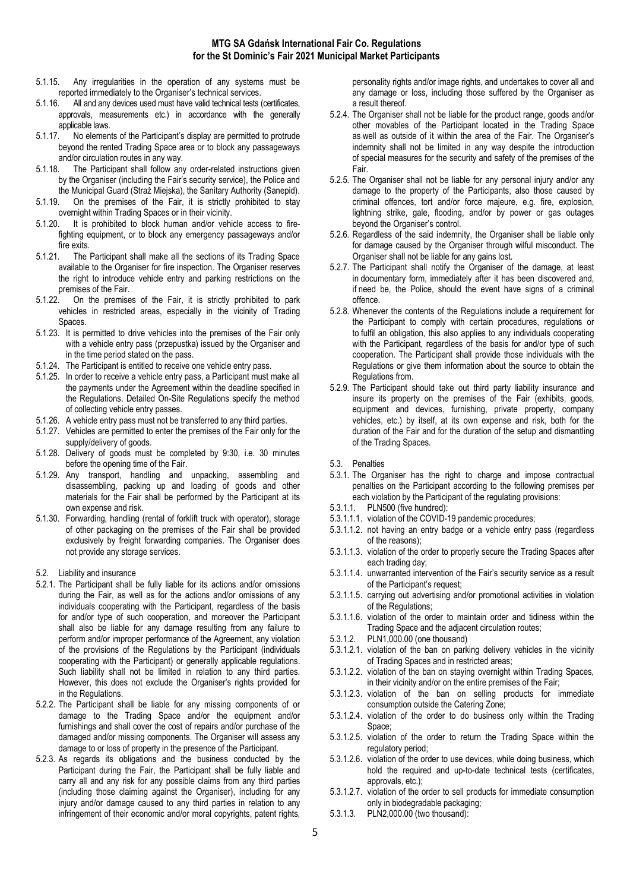#### MTG SA Gdańsk International Fair Co. Regulations for the St Dominic's Fair 2021 Municipal Market Participants

- 5.1.15. Any irregularities in the operation of any systems must be reported immediately to the Organiser's technical services.
- 5.1.16. All and any devices used must have valid technical tests (certificates, approvals, measurements etc.) in accordance with the generally applicable laws.
- 5.1.17. No elements of the Participant's display are permitted to protrude beyond the rented Trading Space area or to block any passageways and/or circulation routes in any way.
- 5.1.18. The Participant shall follow any order-related instructions given by the Organiser (including the Fair's security service), the Police and the Municipal Guard (Straż Miejska), the Sanitary Authority (Sanepid).
- 5.1.19. On the premises of the Fair, it is strictly prohibited to stay overnight within Trading Spaces or in their vicinity.
- 5.1.20. It is prohibited to block human and/or vehicle access to firefighting equipment, or to block any emergency passageways and/or fire exits.
- 5.1.21. The Participant shall make all the sections of its Trading Space available to the Organiser for fire inspection. The Organiser reserves the right to introduce vehicle entry and parking restrictions on the premises of the Fair.<br>5.1.22. On the premise
- 5.1.22. On the premises of the Fair, it is strictly prohibited to park vehicles in restricted areas, especially in the vicinity of Trading **Spaces**
- 5.1.23. It is permitted to drive vehicles into the premises of the Fair only with a vehicle entry pass (przepustka) issued by the Organiser and in the time period stated on the pass.
- 5.1.24. The Participant is entitled to receive one vehicle entry pass.
- 5.1.25. In order to receive a vehicle entry pass, a Participant must make all the payments under the Agreement within the deadline specified in the Regulations. Detailed On-Site Regulations specify the method of collecting vehicle entry passes.
- 5.1.26. A vehicle entry pass must not be transferred to any third parties.
- 5.1.27. Vehicles are permitted to enter the premises of the Fair only for the supply/delivery of goods.
- 5.1.28. Delivery of goods must be completed by 9:30, i.e. 30 minutes before the opening time of the Fair.
- 5.1.29. Any transport, handling and unpacking, assembling and disassembling, packing up and loading of goods and other materials for the Fair shall be performed by the Participant at its own expense and risk.
- 5.1.30. Forwarding, handling (rental of forklift truck with operator), storage of other packaging on the premises of the Fair shall be provided exclusively by freight forwarding companies. The Organiser does not provide any storage services.
- 5.2. Liability and insurance
- 5.2.1. The Participant shall be fully liable for its actions and/or omissions during the Fair, as well as for the actions and/or omissions of any individuals cooperating with the Participant, regardless of the basis for and/or type of such cooperation, and moreover the Participant shall also be liable for any damage resulting from any failure to perform and/or improper performance of the Agreement, any violation of the provisions of the Regulations by the Participant (individuals cooperating with the Participant) or generally applicable regulations. Such liability shall not be limited in relation to any third parties. However, this does not exclude the Organiser's rights provided for in the Regulations.
- 5.2.2. The Participant shall be liable for any missing components of or damage to the Trading Space and/or the equipment and/or furnishings and shall cover the cost of repairs and/or purchase of the damaged and/or missing components. The Organiser will assess any damage to or loss of property in the presence of the Participant.
- 5.2.3. As regards its obligations and the business conducted by the Participant during the Fair, the Participant shall be fully liable and carry all and any risk for any possible claims from any third parties (including those claiming against the Organiser), including for any injury and/or damage caused to any third parties in relation to any infringement of their economic and/or moral copyrights, patent rights,

personality rights and/or image rights, and undertakes to cover all and any damage or loss, including those suffered by the Organiser as a result thereof.

- 5.2.4. The Organiser shall not be liable for the product range, goods and/or other movables of the Participant located in the Trading Space as well as outside of it within the area of the Fair. The Organiser's indemnity shall not be limited in any way despite the introduction of special measures for the security and safety of the premises of the Fair.
- 5.2.5. The Organiser shall not be liable for any personal injury and/or any damage to the property of the Participants, also those caused by criminal offences, tort and/or force majeure, e.g. fire, explosion, lightning strike, gale, flooding, and/or by power or gas outages beyond the Organiser's control.
- 5.2.6. Regardless of the said indemnity, the Organiser shall be liable only for damage caused by the Organiser through wilful misconduct. The Organiser shall not be liable for any gains lost.
- 5.2.7. The Participant shall notify the Organiser of the damage, at least in documentary form, immediately after it has been discovered and, if need be, the Police, should the event have signs of a criminal offence.
- 5.2.8. Whenever the contents of the Regulations include a requirement for the Participant to comply with certain procedures, regulations or to fulfil an obligation, this also applies to any individuals cooperating with the Participant, regardless of the basis for and/or type of such cooperation. The Participant shall provide those individuals with the Regulations or give them information about the source to obtain the Regulations from.
- 5.2.9. The Participant should take out third party liability insurance and insure its property on the premises of the Fair (exhibits, goods, equipment and devices, furnishing, private property, company vehicles, etc.) by itself, at its own expense and risk, both for the duration of the Fair and for the duration of the setup and dismantling of the Trading Spaces.
- 5.3. Penalties
- 5.3.1. The Organiser has the right to charge and impose contractual penalties on the Participant according to the following premises per each violation by the Participant of the regulating provisions:
- 5.3.1.1. PLN500 (five hundred):
- 5.3.1.1.1. violation of the COVID-19 pandemic procedures;
- 5.3.1.1.2. not having an entry badge or a vehicle entry pass (regardless of the reasons);
- 5.3.1.1.3. violation of the order to properly secure the Trading Spaces after each trading day;
- 5.3.1.1.4. unwarranted intervention of the Fair's security service as a result of the Participant's request;
- 5.3.1.1.5. carrying out advertising and/or promotional activities in violation of the Regulations;
- 5.3.1.1.6. violation of the order to maintain order and tidiness within the Trading Space and the adjacent circulation routes;
- 5.3.1.2. PLN1,000.00 (one thousand)
- 5.3.1.2.1. violation of the ban on parking delivery vehicles in the vicinity of Trading Spaces and in restricted areas;
- 5.3.1.2.2. violation of the ban on staying overnight within Trading Spaces, in their vicinity and/or on the entire premises of the Fair;
- 5.3.1.2.3. violation of the ban on selling products for immediate consumption outside the Catering Zone;
- 5.3.1.2.4. violation of the order to do business only within the Trading Space;
- 5.3.1.2.5. violation of the order to return the Trading Space within the regulatory period:
- 5.3.1.2.6. violation of the order to use devices, while doing business, which hold the required and up-to-date technical tests (certificates, approvals, etc.);
- 5.3.1.2.7. violation of the order to sell products for immediate consumption only in biodegradable packaging;
- 5.3.1.3. PLN2,000.00 (two thousand):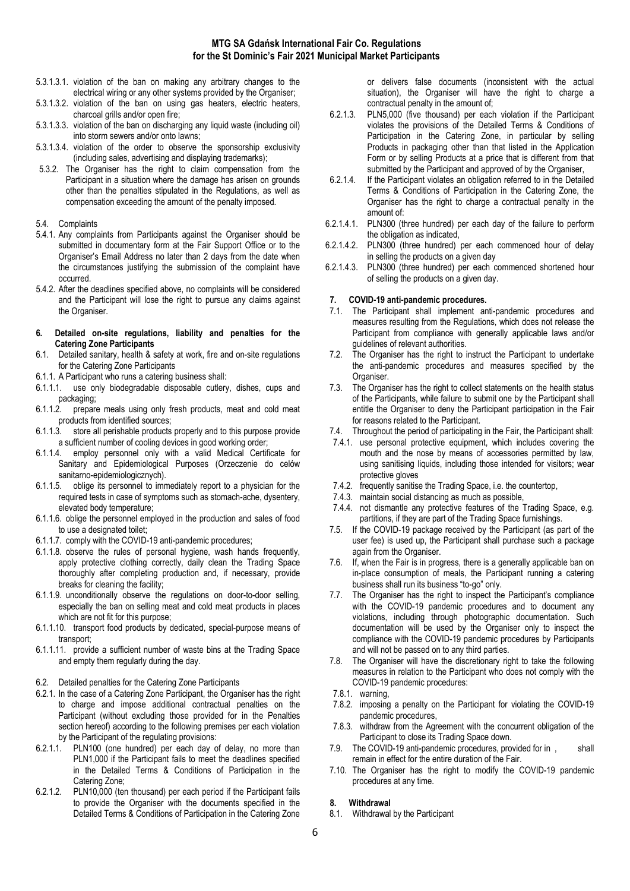- 5.3.1.3.1. violation of the ban on making any arbitrary changes to the electrical wiring or any other systems provided by the Organiser;
- 5.3.1.3.2. violation of the ban on using gas heaters, electric heaters, charcoal grills and/or open fire;
- 5.3.1.3.3. violation of the ban on discharging any liquid waste (including oil) into storm sewers and/or onto lawns;
- 5.3.1.3.4. violation of the order to observe the sponsorship exclusivity (including sales, advertising and displaying trademarks);
- 5.3.2. The Organiser has the right to claim compensation from the Participant in a situation where the damage has arisen on grounds other than the penalties stipulated in the Regulations, as well as compensation exceeding the amount of the penalty imposed.
- 5.4. Complaints
- 5.4.1. Any complaints from Participants against the Organiser should be submitted in documentary form at the Fair Support Office or to the Organiser's Email Address no later than 2 days from the date when the circumstances justifying the submission of the complaint have occurred.
- 5.4.2. After the deadlines specified above, no complaints will be considered and the Participant will lose the right to pursue any claims against the Organiser.
- 6. Detailed on-site regulations, liability and penalties for the Catering Zone Participants
- 6.1. Detailed sanitary, health & safety at work, fire and on-site regulations for the Catering Zone Participants
- 6.1.1. A Participant who runs a catering business shall:
- 6.1.1.1. use only biodegradable disposable cutlery, dishes, cups and packaging;
- 6.1.1.2. prepare meals using only fresh products, meat and cold meat products from identified sources;
- 6.1.1.3. store all perishable products properly and to this purpose provide a sufficient number of cooling devices in good working order;
- 6.1.1.4. employ personnel only with a valid Medical Certificate for Sanitary and Epidemiological Purposes (Orzeczenie do celów sanitarno-epidemiologicznych).
- 6.1.1.5. oblige its personnel to immediately report to a physician for the required tests in case of symptoms such as stomach-ache, dysentery, elevated body temperature;
- 6.1.1.6. oblige the personnel employed in the production and sales of food to use a designated toilet;
- 6.1.1.7. comply with the COVID-19 anti-pandemic procedures;
- 6.1.1.8. observe the rules of personal hygiene, wash hands frequently, apply protective clothing correctly, daily clean the Trading Space thoroughly after completing production and, if necessary, provide breaks for cleaning the facility;
- 6.1.1.9. unconditionally observe the regulations on door-to-door selling, especially the ban on selling meat and cold meat products in places which are not fit for this purpose;
- 6.1.1.10. transport food products by dedicated, special-purpose means of transport;
- 6.1.1.11. provide a sufficient number of waste bins at the Trading Space and empty them regularly during the day.
- 6.2. Detailed penalties for the Catering Zone Participants
- 6.2.1. In the case of a Catering Zone Participant, the Organiser has the right to charge and impose additional contractual penalties on the Participant (without excluding those provided for in the Penalties section hereof) according to the following premises per each violation by the Participant of the regulating provisions:
- 6.2.1.1. PLN100 (one hundred) per each day of delay, no more than PLN1,000 if the Participant fails to meet the deadlines specified in the Detailed Terms & Conditions of Participation in the Catering Zone;
- 6.2.1.2. PLN10,000 (ten thousand) per each period if the Participant fails to provide the Organiser with the documents specified in the Detailed Terms & Conditions of Participation in the Catering Zone

or delivers false documents (inconsistent with the actual situation), the Organiser will have the right to charge a contractual penalty in the amount of;

- 6.2.1.3. PLN5,000 (five thousand) per each violation if the Participant violates the provisions of the Detailed Terms & Conditions of Participation in the Catering Zone, in particular by selling Products in packaging other than that listed in the Application Form or by selling Products at a price that is different from that submitted by the Participant and approved of by the Organiser,
- 6.2.1.4. If the Participant violates an obligation referred to in the Detailed Terms & Conditions of Participation in the Catering Zone, the Organiser has the right to charge a contractual penalty in the amount of:
- 6.2.1.4.1. PLN300 (three hundred) per each day of the failure to perform the obligation as indicated,
- 6.2.1.4.2. PLN300 (three hundred) per each commenced hour of delay in selling the products on a given day
- 6.2.1.4.3. PLN300 (three hundred) per each commenced shortened hour of selling the products on a given day.

## 7. COVID-19 anti-pandemic procedures.

- 7.1. The Participant shall implement anti-pandemic procedures and measures resulting from the Regulations, which does not release the Participant from compliance with generally applicable laws and/or guidelines of relevant authorities.
- 7.2. The Organiser has the right to instruct the Participant to undertake the anti-pandemic procedures and measures specified by the Organiser.
- 7.3. The Organiser has the right to collect statements on the health status of the Participants, while failure to submit one by the Participant shall entitle the Organiser to deny the Participant participation in the Fair for reasons related to the Participant.
- 7.4. Throughout the period of participating in the Fair, the Participant shall:
- 7.4.1. use personal protective equipment, which includes covering the mouth and the nose by means of accessories permitted by law, using sanitising liquids, including those intended for visitors; wear protective gloves
- 7.4.2. frequently sanitise the Trading Space, i.e. the countertop,
- 7.4.3. maintain social distancing as much as possible,
- 7.4.4. not dismantle any protective features of the Trading Space, e.g. partitions, if they are part of the Trading Space furnishings.
- 7.5. If the COVID-19 package received by the Participant (as part of the user fee) is used up, the Participant shall purchase such a package again from the Organiser.
- 7.6. If, when the Fair is in progress, there is a generally applicable ban on in-place consumption of meals, the Participant running a catering business shall run its business "to-go" only.
- 7.7. The Organiser has the right to inspect the Participant's compliance with the COVID-19 pandemic procedures and to document any violations, including through photographic documentation. Such documentation will be used by the Organiser only to inspect the compliance with the COVID-19 pandemic procedures by Participants and will not be passed on to any third parties.
- 7.8. The Organiser will have the discretionary right to take the following measures in relation to the Participant who does not comply with the COVID-19 pandemic procedures:
- 7.8.1. warning,
- 7.8.2. imposing a penalty on the Participant for violating the COVID-19 pandemic procedures,
- 7.8.3. withdraw from the Agreement with the concurrent obligation of the Participant to close its Trading Space down.
- 7.9. The COVID-19 anti-pandemic procedures, provided for in , shall remain in effect for the entire duration of the Fair.
- 7.10. The Organiser has the right to modify the COVID-19 pandemic procedures at any time.

### 8. Withdrawal

8.1. Withdrawal by the Participant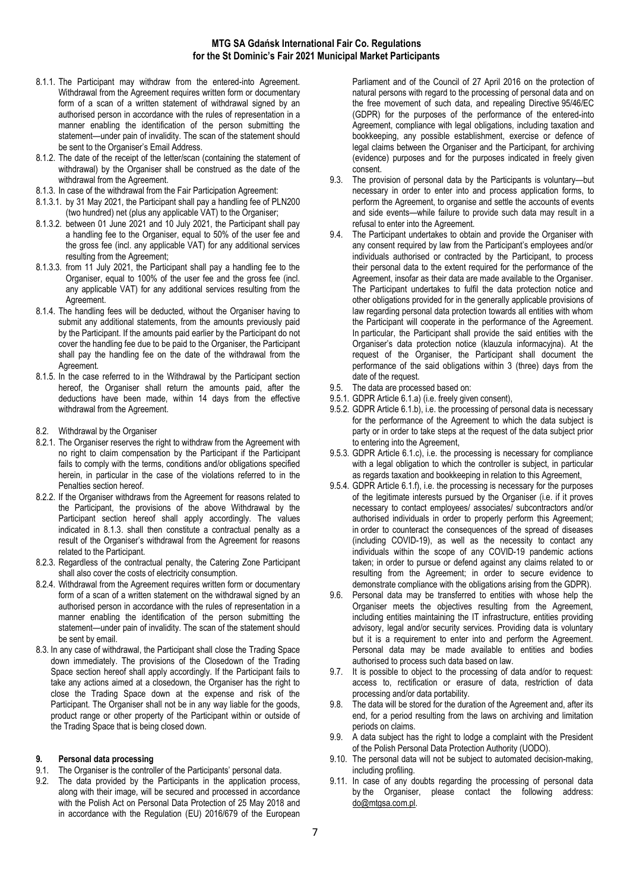- 8.1.1. The Participant may withdraw from the entered-into Agreement. Withdrawal from the Agreement requires written form or documentary form of a scan of a written statement of withdrawal signed by an authorised person in accordance with the rules of representation in a manner enabling the identification of the person submitting the statement—under pain of invalidity. The scan of the statement should be sent to the Organiser's Email Address.
- 8.1.2. The date of the receipt of the letter/scan (containing the statement of withdrawal) by the Organiser shall be construed as the date of the withdrawal from the Agreement.
- 8.1.3. In case of the withdrawal from the Fair Participation Agreement:
- 8.1.3.1. by 31 May 2021, the Participant shall pay a handling fee of PLN200 (two hundred) net (plus any applicable VAT) to the Organiser;
- 8.1.3.2. between 01 June 2021 and 10 July 2021, the Participant shall pay a handling fee to the Organiser, equal to 50% of the user fee and the gross fee (incl. any applicable VAT) for any additional services resulting from the Agreement;
- 8.1.3.3. from 11 July 2021, the Participant shall pay a handling fee to the Organiser, equal to 100% of the user fee and the gross fee (incl. any applicable VAT) for any additional services resulting from the Agreement.
- 8.1.4. The handling fees will be deducted, without the Organiser having to submit any additional statements, from the amounts previously paid by the Participant. If the amounts paid earlier by the Participant do not cover the handling fee due to be paid to the Organiser, the Participant shall pay the handling fee on the date of the withdrawal from the Agreement.
- 8.1.5. In the case referred to in the Withdrawal by the Participant section hereof, the Organiser shall return the amounts paid, after the deductions have been made, within 14 days from the effective withdrawal from the Agreement.
- 8.2. Withdrawal by the Organiser
- 8.2.1. The Organiser reserves the right to withdraw from the Agreement with no right to claim compensation by the Participant if the Participant fails to comply with the terms, conditions and/or obligations specified herein, in particular in the case of the violations referred to in the Penalties section hereof.
- 8.2.2. If the Organiser withdraws from the Agreement for reasons related to the Participant, the provisions of the above Withdrawal by the Participant section hereof shall apply accordingly. The values indicated in 8.1.3. shall then constitute a contractual penalty as a result of the Organiser's withdrawal from the Agreement for reasons related to the Participant.
- 8.2.3. Regardless of the contractual penalty, the Catering Zone Participant shall also cover the costs of electricity consumption.
- 8.2.4. Withdrawal from the Agreement requires written form or documentary form of a scan of a written statement on the withdrawal signed by an authorised person in accordance with the rules of representation in a manner enabling the identification of the person submitting the statement—under pain of invalidity. The scan of the statement should be sent by email.
- 8.3. In any case of withdrawal, the Participant shall close the Trading Space down immediately. The provisions of the Closedown of the Trading Space section hereof shall apply accordingly. If the Participant fails to take any actions aimed at a closedown, the Organiser has the right to close the Trading Space down at the expense and risk of the Participant. The Organiser shall not be in any way liable for the goods, product range or other property of the Participant within or outside of the Trading Space that is being closed down.

## 9. Personal data processing

- 9.1. The Organiser is the controller of the Participants' personal data.
- 9.2. The data provided by the Participants in the application process, along with their image, will be secured and processed in accordance with the Polish Act on Personal Data Protection of 25 May 2018 and in accordance with the Regulation (EU) 2016/679 of the European

Parliament and of the Council of 27 April 2016 on the protection of natural persons with regard to the processing of personal data and on the free movement of such data, and repealing Directive 95/46/EC (GDPR) for the purposes of the performance of the entered-into Agreement, compliance with legal obligations, including taxation and bookkeeping, any possible establishment, exercise or defence of legal claims between the Organiser and the Participant, for archiving (evidence) purposes and for the purposes indicated in freely given consent.

- 9.3. The provision of personal data by the Participants is voluntary—but necessary in order to enter into and process application forms, to perform the Agreement, to organise and settle the accounts of events and side events—while failure to provide such data may result in a refusal to enter into the Agreement.
- 9.4. The Participant undertakes to obtain and provide the Organiser with any consent required by law from the Participant's employees and/or individuals authorised or contracted by the Participant, to process their personal data to the extent required for the performance of the Agreement, insofar as their data are made available to the Organiser. The Participant undertakes to fulfil the data protection notice and other obligations provided for in the generally applicable provisions of law regarding personal data protection towards all entities with whom the Participant will cooperate in the performance of the Agreement. In particular, the Participant shall provide the said entities with the Organiser's data protection notice (klauzula informacyjna). At the request of the Organiser, the Participant shall document the performance of the said obligations within 3 (three) days from the date of the request.
- 9.5. The data are processed based on:
- 9.5.1. GDPR Article 6.1.a) (i.e. freely given consent),
- 9.5.2. GDPR Article 6.1.b), i.e. the processing of personal data is necessary for the performance of the Agreement to which the data subject is party or in order to take steps at the request of the data subject prior to entering into the Agreement,
- 9.5.3. GDPR Article 6.1.c), i.e. the processing is necessary for compliance with a legal obligation to which the controller is subject, in particular as regards taxation and bookkeeping in relation to this Agreement,
- 9.5.4. GDPR Article 6.1.f), i.e. the processing is necessary for the purposes of the legitimate interests pursued by the Organiser (i.e. if it proves necessary to contact employees/ associates/ subcontractors and/or authorised individuals in order to properly perform this Agreement; in order to counteract the consequences of the spread of diseases (including COVID-19), as well as the necessity to contact any individuals within the scope of any COVID-19 pandemic actions taken; in order to pursue or defend against any claims related to or resulting from the Agreement; in order to secure evidence to demonstrate compliance with the obligations arising from the GDPR).
- 9.6. Personal data may be transferred to entities with whose help the Organiser meets the objectives resulting from the Agreement, including entities maintaining the IT infrastructure, entities providing advisory, legal and/or security services. Providing data is voluntary but it is a requirement to enter into and perform the Agreement. Personal data may be made available to entities and bodies authorised to process such data based on law.
- 9.7. It is possible to object to the processing of data and/or to request: access to, rectification or erasure of data, restriction of data processing and/or data portability.
- 9.8. The data will be stored for the duration of the Agreement and, after its end, for a period resulting from the laws on archiving and limitation periods on claims.
- 9.9. A data subject has the right to lodge a complaint with the President of the Polish Personal Data Protection Authority (UODO).
- 9.10. The personal data will not be subject to automated decision-making, including profiling.
- 9.11. In case of any doubts regarding the processing of personal data by the Organiser, please contact the following address: do@mtgsa.com.pl.